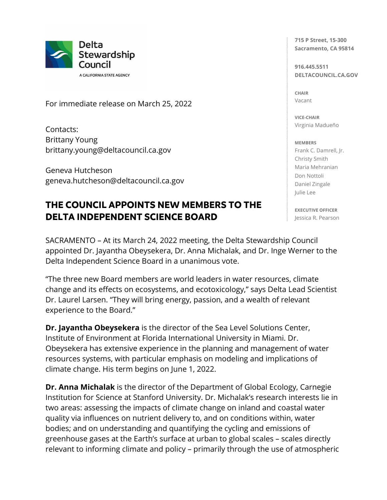

A CALIFORNIA STATE AGENCY

For immediate release on March 25, 2022

Contacts: Brittany Young brittany.young@deltacouncil.ca.gov

Geneva Hutcheson geneva.hutcheson@deltacouncil.ca.gov

## **THE COUNCIL APPOINTS NEW MEMBERS TO THE DELTA INDEPENDENT SCIENCE BOARD**

SACRAMENTO – At its March 24, 2022 meeting, the Delta Stewardship Council appointed Dr. Jayantha Obeysekera, Dr. Anna Michalak, and Dr. Inge Werner to the Delta Independent Science Board in a unanimous vote.

"The three new Board members are world leaders in water resources, climate change and its effects on ecosystems, and ecotoxicology," says Delta Lead Scientist Dr. Laurel Larsen. "They will bring energy, passion, and a wealth of relevant experience to the Board."

**Dr. Jayantha Obeysekera** is the director of the Sea Level Solutions Center, Institute of Environment at Florida International University in Miami. Dr. Obeysekera has extensive experience in the planning and management of water resources systems, with particular emphasis on modeling and implications of climate change. His term begins on June 1, 2022.

**Dr. Anna Michalak** is the director of the Department of Global Ecology, Carnegie Institution for Science at Stanford University. Dr. Michalak's research interests lie in two areas: assessing the impacts of climate change on inland and coastal water quality via influences on nutrient delivery to, and on conditions within, water bodies; and on understanding and quantifying the cycling and emissions of greenhouse gases at the Earth's surface at urban to global scales – scales directly relevant to informing climate and policy – primarily through the use of atmospheric

**715 P Street, 15-300 Sacramento, CA 95814**

**916.445.5511 DELTACOUNCIL.CA.GOV**

**CHAIR** Vacant

**VICE-CHAIR** Virginia Madueño

## **MEMBERS**

Frank C. Damrell, Jr. Christy Smith Maria Mehranian Don Nottoli Daniel Zingale Julie Lee

**EXECUTIVE OFFICER** Jessica R. Pearson